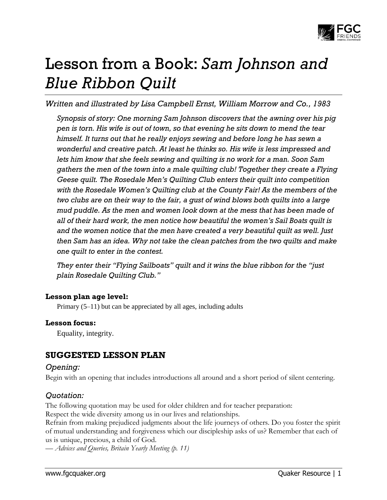

# Lesson from a Book: *Sam Johnson and Blue Ribbon Quilt*

*Written and illustrated by Lisa Campbell Ernst, William Morrow and Co., 1983*

*Synopsis of story: One morning Sam Johnson discovers that the awning over his pig pen is torn. His wife is out of town, so that evening he sits down to mend the tear himself. It turns out that he really enjoys sewing and before long he has sewn a wonderful and creative patch. At least he thinks so. His wife is less impressed and lets him know that she feels sewing and quilting is no work for a man. Soon Sam gathers the men of the town into a male quilting club! Together they create a Flying Geese quilt. The Rosedale Men's Quilting Club enters their quilt into competition with the Rosedale Women's Quilting club at the County Fair! As the members of the two clubs are on their way to the fair, a gust of wind blows both quilts into a large mud puddle. As the men and women look down at the mess that has been made of all of their hard work, the men notice how beautiful the women's Sail Boats quilt is and the women notice that the men have created a very beautiful quilt as well. Just then Sam has an idea. Why not take the clean patches from the two quilts and make one quilt to enter in the contest.*

*They enter their "Flying Sailboats" quilt and it wins the blue ribbon for the "just plain Rosedale Quilting Club."*

#### **Lesson plan age level:**

Primary (5–11) but can be appreciated by all ages, including adults

#### **Lesson focus:**

Equality, integrity.

# **SUGGESTED LESSON PLAN**

#### *Opening:*

Begin with an opening that includes introductions all around and a short period of silent centering.

### *Quotation:*

The following quotation may be used for older children and for teacher preparation: Respect the wide diversity among us in our lives and relationships.

Refrain from making prejudiced judgments about the life journeys of others. Do you foster the spirit of mutual understanding and forgiveness which our discipleship asks of us? Remember that each of us is unique, precious, a child of God.

*— Advices and Queries, Britain Yearly Meeting (p. 11)*